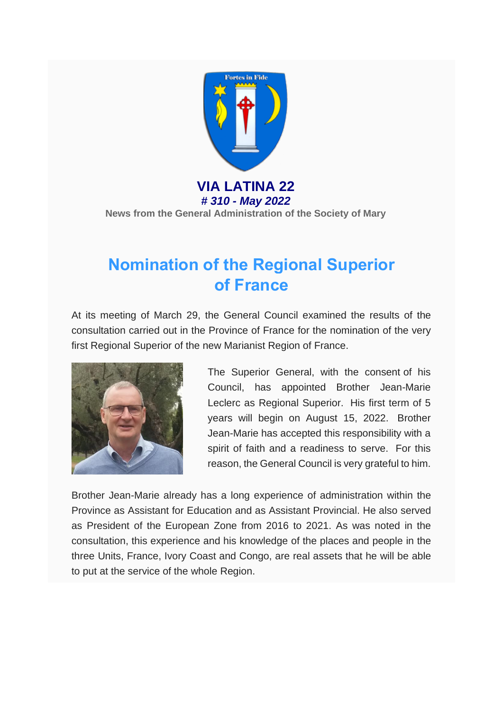

**VIA LATINA 22** *# 310 - May 2022* **News from the General Administration of the Society of Mary**

# **Nomination of the Regional Superior of France**

At its meeting of March 29, the General Council examined the results of the consultation carried out in the Province of France for the nomination of the very first Regional Superior of the new Marianist Region of France.



The Superior General, with the consent of his Council, has appointed Brother Jean-Marie Leclerc as Regional Superior. His first term of 5 years will begin on August 15, 2022. Brother Jean-Marie has accepted this responsibility with a spirit of faith and a readiness to serve. For this reason, the General Council is very grateful to him.

Brother Jean-Marie already has a long experience of administration within the Province as Assistant for Education and as Assistant Provincial. He also served as President of the European Zone from 2016 to 2021. As was noted in the consultation, this experience and his knowledge of the places and people in the three Units, France, Ivory Coast and Congo, are real assets that he will be able to put at the service of the whole Region.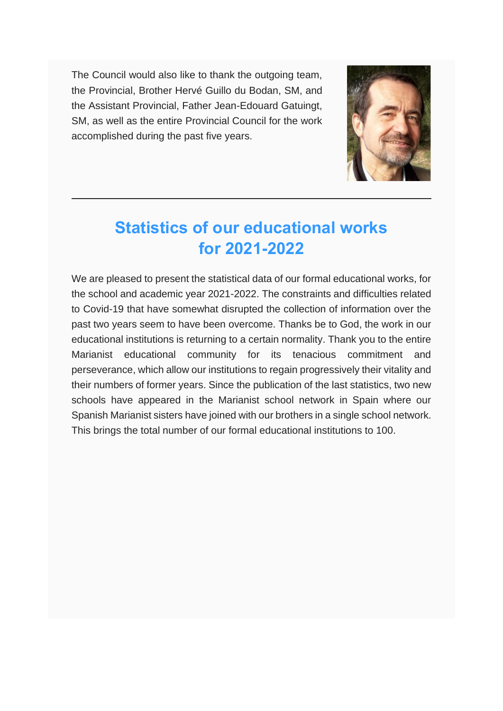The Council would also like to thank the outgoing team, the Provincial, Brother Hervé Guillo du Bodan, SM, and the Assistant Provincial, Father Jean-Edouard Gatuingt, SM, as well as the entire Provincial Council for the work accomplished during the past five years.



# **Statistics of our educational works for 2021-2022**

We are pleased to present the statistical data of our formal educational works, for the school and academic year 2021-2022. The constraints and difficulties related to Covid-19 that have somewhat disrupted the collection of information over the past two years seem to have been overcome. Thanks be to God, the work in our educational institutions is returning to a certain normality. Thank you to the entire Marianist educational community for its tenacious commitment and perseverance, which allow our institutions to regain progressively their vitality and their numbers of former years. Since the publication of the last statistics, two new schools have appeared in the Marianist school network in Spain where our Spanish Marianist sisters have joined with our brothers in a single school network. This brings the total number of our formal educational institutions to 100.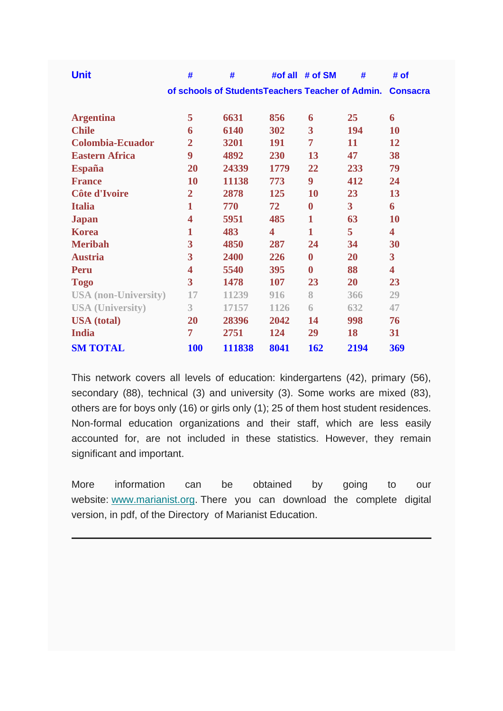| <b>Unit</b>                 | #                                                | #      | #of all | # of SM                 | #              | # of                    |
|-----------------------------|--------------------------------------------------|--------|---------|-------------------------|----------------|-------------------------|
|                             | of schools of StudentsTeachers Teacher of Admin. |        |         |                         |                | <b>Consacra</b>         |
|                             | 5                                                | 6631   | 856     |                         | 25             | 6                       |
| <b>Argentina</b>            |                                                  |        |         | 6                       |                |                         |
| <b>Chile</b>                | 6                                                | 6140   | 302     | $\overline{\mathbf{3}}$ | 194            | 10                      |
| <b>Colombia-Ecuador</b>     | $\overline{2}$                                   | 3201   | 191     | 7                       | 11             | 12                      |
| <b>Eastern Africa</b>       | 9                                                | 4892   | 230     | 13                      | 47             | 38                      |
| <b>España</b>               | 20                                               | 24339  | 1779    | 22                      | 233            | 79                      |
| <b>France</b>               | 10                                               | 11138  | 773     | 9                       | 412            | 24                      |
| Côte d'Ivoire               | $\overline{2}$                                   | 2878   | 125     | 10                      | 23             | 13                      |
| <b>Italia</b>               | $\mathbf{1}$                                     | 770    | 72      | $\bf{0}$                | $\overline{3}$ | 6                       |
| <b>Japan</b>                | 4                                                | 5951   | 485     | $\mathbf{1}$            | 63             | <b>10</b>               |
| <b>Korea</b>                | 1                                                | 483    | 4       | $\mathbf{1}$            | 5              | $\overline{\mathbf{4}}$ |
| <b>Meribah</b>              | 3                                                | 4850   | 287     | 24                      | 34             | 30                      |
| <b>Austria</b>              | 3                                                | 2400   | 226     | $\bf{0}$                | 20             | $\overline{\mathbf{3}}$ |
| Peru                        | 4                                                | 5540   | 395     | $\bf{0}$                | 88             | $\overline{\mathbf{4}}$ |
| <b>Togo</b>                 | 3                                                | 1478   | 107     | 23                      | 20             | 23                      |
| <b>USA</b> (non-University) | 17                                               | 11239  | 916     | 8                       | 366            | 29                      |
| <b>USA (University)</b>     | 3                                                | 17157  | 1126    | 6                       | 632            | 47                      |
| <b>USA</b> (total)          | 20                                               | 28396  | 2042    | 14                      | 998            | 76                      |
| <b>India</b>                | 7                                                | 2751   | 124     | 29                      | 18             | 31                      |
| <b>SM TOTAL</b>             | <b>100</b>                                       | 111838 | 8041    | 162                     | 2194           | 369                     |

This network covers all levels of education: kindergartens (42), primary (56), secondary (88), technical (3) and university (3). Some works are mixed (83), others are for boys only (16) or girls only (1); 25 of them host student residences. Non-formal education organizations and their staff, which are less easily accounted for, are not included in these statistics. However, they remain significant and important.

More information can be obtained by going to our website: [www.marianist.org.](http://www.marianist.org/) There you can download the complete digital version, in pdf, of the Directory of Marianist Education.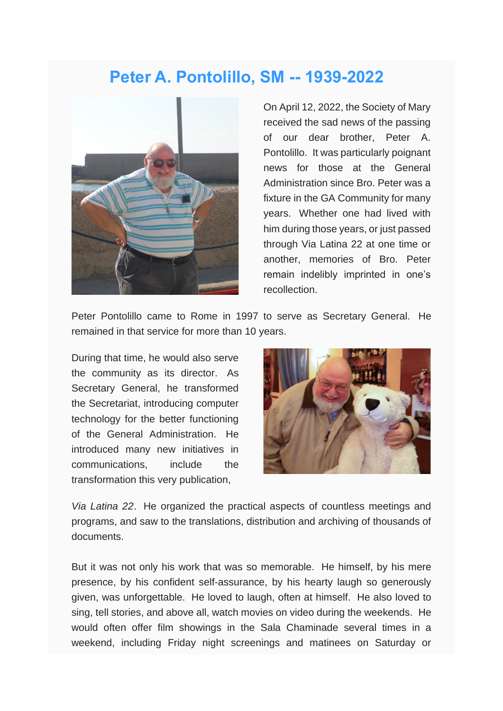#### **Peter A. Pontolillo, SM -- 1939-2022**



On April 12, 2022, the Society of Mary received the sad news of the passing of our dear brother, Peter A. Pontolillo. It was particularly poignant news for those at the General Administration since Bro. Peter was a fixture in the GA Community for many years. Whether one had lived with him during those years, or just passed through Via Latina 22 at one time or another, memories of Bro. Peter remain indelibly imprinted in one's recollection.

Peter Pontolillo came to Rome in 1997 to serve as Secretary General. He remained in that service for more than 10 years.

During that time, he would also serve the community as its director. As Secretary General, he transformed the Secretariat, introducing computer technology for the better functioning of the General Administration. He introduced many new initiatives in communications, include the transformation this very publication,



*Via Latina 22*. He organized the practical aspects of countless meetings and programs, and saw to the translations, distribution and archiving of thousands of documents.

But it was not only his work that was so memorable. He himself, by his mere presence, by his confident self-assurance, by his hearty laugh so generously given, was unforgettable. He loved to laugh, often at himself. He also loved to sing, tell stories, and above all, watch movies on video during the weekends. He would often offer film showings in the Sala Chaminade several times in a weekend, including Friday night screenings and matinees on Saturday or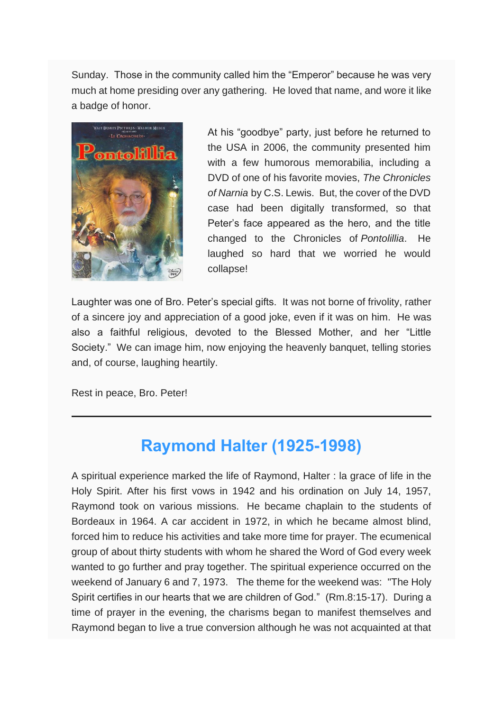Sunday. Those in the community called him the "Emperor" because he was very much at home presiding over any gathering. He loved that name, and wore it like a badge of honor.



At his "goodbye" party, just before he returned to the USA in 2006, the community presented him with a few humorous memorabilia, including a DVD of one of his favorite movies, *The Chronicles of Narnia* by C.S. Lewis. But, the cover of the DVD case had been digitally transformed, so that Peter's face appeared as the hero, and the title changed to the Chronicles of *Pontolillia*. He laughed so hard that we worried he would collapse!

Laughter was one of Bro. Peter's special gifts. It was not borne of frivolity, rather of a sincere joy and appreciation of a good joke, even if it was on him. He was also a faithful religious, devoted to the Blessed Mother, and her "Little Society." We can image him, now enjoying the heavenly banquet, telling stories and, of course, laughing heartily.

Rest in peace, Bro. Peter!

# **Raymond Halter (1925-1998)**

A spiritual experience marked the life of Raymond, Halter : la grace of life in the Holy Spirit. After his first vows in 1942 and his ordination on July 14, 1957, Raymond took on various missions. He became chaplain to the students of Bordeaux in 1964. A car accident in 1972, in which he became almost blind, forced him to reduce his activities and take more time for prayer. The ecumenical group of about thirty students with whom he shared the Word of God every week wanted to go further and pray together. The spiritual experience occurred on the weekend of January 6 and 7, 1973. The theme for the weekend was: "The Holy Spirit certifies in our hearts that we are children of God." (Rm.8:15-17). During a time of prayer in the evening, the charisms began to manifest themselves and Raymond began to live a true conversion although he was not acquainted at that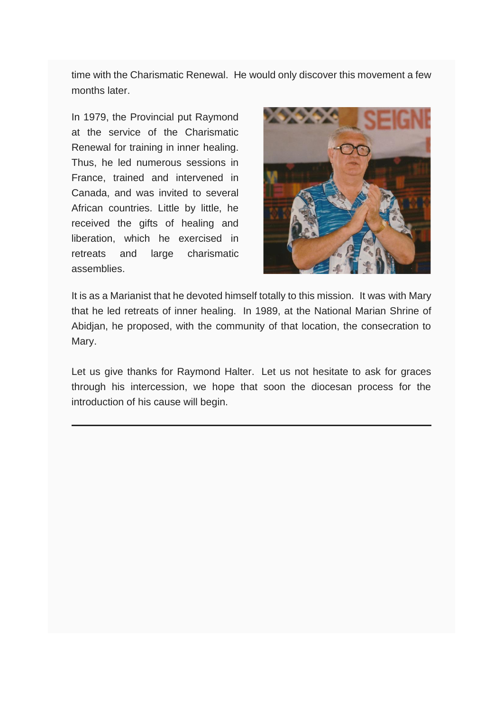time with the Charismatic Renewal. He would only discover this movement a few months later.

In 1979, the Provincial put Raymond at the service of the Charismatic Renewal for training in inner healing. Thus, he led numerous sessions in France, trained and intervened in Canada, and was invited to several African countries. Little by little, he received the gifts of healing and liberation, which he exercised in retreats and large charismatic assemblies.



It is as a Marianist that he devoted himself totally to this mission. It was with Mary that he led retreats of inner healing. In 1989, at the National Marian Shrine of Abidjan, he proposed, with the community of that location, the consecration to Mary.

Let us give thanks for Raymond Halter. Let us not hesitate to ask for graces through his intercession, we hope that soon the diocesan process for the introduction of his cause will begin.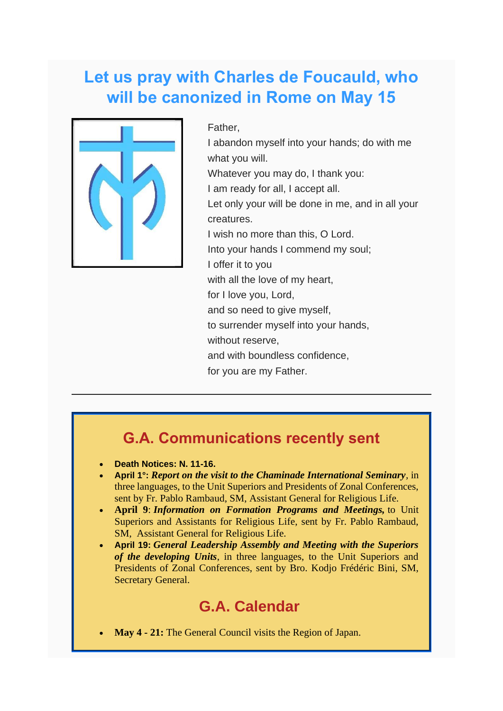## **Let us pray with Charles de Foucauld, who will be canonized in Rome on May 15**



Father, I abandon myself into your hands; do with me what you will. Whatever you may do, I thank you: I am ready for all, I accept all. Let only your will be done in me, and in all your creatures. I wish no more than this, O Lord. Into your hands I commend my soul; I offer it to you with all the love of my heart, for I love you, Lord, and so need to give myself. to surrender myself into your hands, without reserve. and with boundless confidence,

for you are my Father.

#### **G.A. Communications recently sent**

- **Death Notices: N. 11-16.**
- **April 1°:** *Report on the visit to the Chaminade International Seminary,* in three languages, to the Unit Superiors and Presidents of Zonal Conferences, sent by Fr. Pablo Rambaud, SM, Assistant General for Religious Life.
- **April 9**: *Information on Formation Programs and Meetings,* to Unit Superiors and Assistants for Religious Life, sent by Fr. Pablo Rambaud, SM, Assistant General for Religious Life.
- **April 19:** *General Leadership Assembly and Meeting with the Superiors of the developing Units*, in three languages, to the Unit Superiors and Presidents of Zonal Conferences, sent by Bro. Kodjo Frédéric Bini, SM, Secretary General.

#### **G.A. Calendar**

• **May 4 - 21:** The General Council visits the Region of Japan.